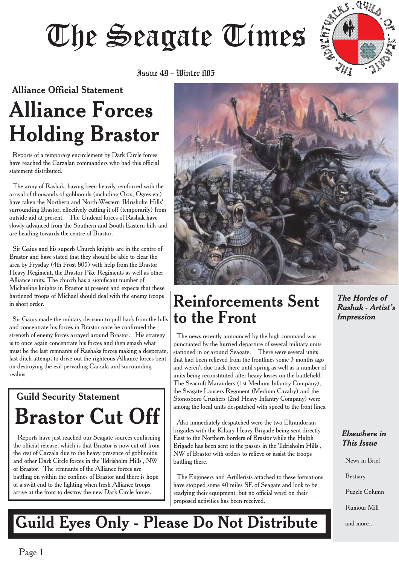



#### Alliance Official Statement

# **Alliance Forces Holding Brastor**

Reports of a temporary encirclement by Dark Circle forces have reached the Carzalan commanders who had this official statement distributed.

The army of Rashak, having been heavily reinforced with the arrival of thousands of goblinoids (including Orcs, Ogres etc) have taken the Northern and North-Western 'Ildrisholm Hills' surrounding Brastor, effectively cutting it off (temporarily) from outside aid at present. The Undead forces of Rashak have slowly advanced from the Southern and South Eastern hills and are heading towards the centre of Brastor.

Sir Gaius and his superb Church knights are in the centre of Brastor and have stated that they should be able to clear the area by Frysday (4th Frost 805) with help from the Brastor Heavy Regiment, the Brastor Pike Regiments as well as other Alliance units. The church has a significant number of Michaeline knights in Brastor at present and expects that these hardened troops of Michael should deal with the enemy troops in short order.

Sir Gaius made the military decision to pull back from the hills and concentrate his forces in Brastor once he confirmed the strength of enemy forces arrayed around Brastor. His strategy is to once again concentrate his forces and then smash what must be the last remnants of Rashaks forces making a desperate, last ditch attempt to drive out the righteous Alliance forces bent on destroying the evil pervading Carzala and surrounding realms

# Guild Security Statement **Brastor Cut Off**

Reports have just reached our Seagate sources confirming the official release, which is that Brastor is now cut off from the rest of Carzala due to the heavy presence of goblinoids and other Dark Circle forces in the 'Ildrisholm Hills', NW of Brastor. The remnants of the Alliance forces are battling on within the confines of Brastor and there is hope of a swift end to the fighting when fresh Alliance troops arrive at the front to destroy the new Dark Circle forces.



### **Reinforcements Sent to the Front**

The news recently announced by the high command was punctuated by the hurried departure of several military units stationed in or around Seagate. There were several units that had been relieved from the frontlines some 3 months ago and weren't due back there until spring as well as a number of units being reconstituted after heavy losses on the battlefield. The Seacroft Marauders (1st Medium Infantry Company), the Seagate Lancers Regiment (Medium Cavalry) and the Stonosboro Crushers (2nd Heavy Infantry Company) were among the local units despatched with speed to the front lines.

Also immediately despatched were the two Eltrandorian brigades with the Kiltary Heavy Brigade being sent directly East to the Northern borders of Brastor while the Halph Brigade has been sent to the passes in the 'Ildrisholm Hills', NW of Brastor with orders to relieve or assist the troops battling there.

The Engineers and Artillerists attached to these formations have stopped some 40 miles SE of Seagate and look to be readying their equipment, but no official word on their proposed activities has been received.

*The Hordes of Rashak - Artist's Impression*

#### *Elsewhere in This Issue*

News in Brief

Bestiary

Puzzle Column

Rumour Mill

and more...

# **Guild Eyes Only - Please Do Not Distribute**

Page 1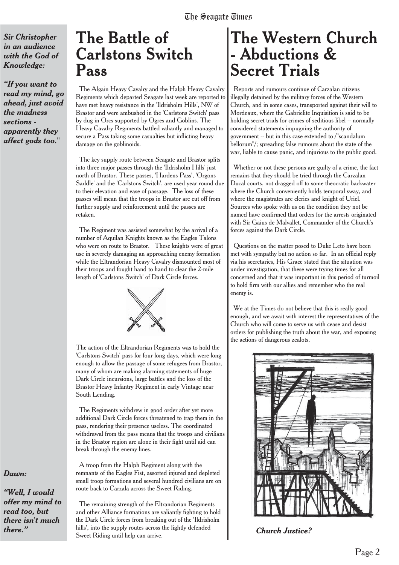*Sir Christopher in an audience with the God of Knowledge:*

*"If you want to read my mind, go ahead, just avoid the madness sections apparently they affect gods too."*

### **The Battle of Carlstons Switch Pass**

The Algain Heavy Cavalry and the Halph Heavy Cavalry Regiments which departed Seagate last week are reported to have met heavy resistance in the 'Ildrisholm Hills', NW of Brastor and were ambushed in the 'Carlstons Switch' pass by dug in Orcs supported by Ogres and Goblins. The Heavy Cavalry Regiments battled valiantly and managed to secure a Pass taking some casualties but inflicting heavy damage on the goblinoids.

The key supply route between Seagate and Brastor splits into three major passes through the 'Ildrisholm Hills' just north of Brastor. These passes, 'Hardens Pass', 'Orgons Saddle' and the 'Carlstons Switch', are used year round due to their elevation and ease of passage. The loss of these passes will mean that the troops in Brastor are cut off from further supply and reinforcement until the passes are retaken.

The Regiment was assisted somewhat by the arrival of a number of Aquilan Knights known as the Eagles Talons who were on route to Brastor. These knights were of great use in severely damaging an approaching enemy formation while the Eltrandorian Heavy Cavalry dismounted most of their troops and fought hand to hand to clear the 2-mile length of 'Carlstons Switch' of Dark Circle forces.



The action of the Eltrandorian Regiments was to hold the 'Carlstons Switch' pass for four long days, which were long enough to allow the passage of some refugees from Brastor, many of whom are making alarming statements of huge Dark Circle incursions, large battles and the loss of the Brastor Heavy Infantry Regiment in early Vintage near South Lending.

The Regiments withdrew in good order after yet more additional Dark Circle forces threatened to trap them in the pass, rendering their presence useless. The coordinated withdrawal from the pass means that the troops and civilians in the Brastor region are alone in their fight until aid can break through the enemy lines.

A troop from the Halph Regiment along with the remnants of the Eagles Fist, assorted injured and depleted small troop formations and several hundred civilians are on route back to Carzala across the Sweet Riding.

The remaining strength of the Eltrandorian Regiments and other Alliance formations are valiantly fighting to hold the Dark Circle forces from breaking out of the 'Ildrisholm *there.*" hills', into the supply routes across the lightly defended *Church Justice?* Sweet Riding until help can arrive.

# **The Western Church - Abductions & Secret Trials**

Reports and rumours continue of Carzalan citizens illegally detained by the military forces of the Western Church, and in some cases, transported against their will to Mordeaux, where the Gabrielite Inquisition is said to be holding secret trials for crimes of seditious libel -- normally considered statements impugning the authority of government -- but in this case extended to /"scandalum bellorum"/; spreading false rumours about the state of the war, liable to cause panic, and injurious to the public good.

Whether or not these persons are guilty of a crime, the fact remains that they should be tried through the Carzalan Ducal courts, not dragged off to some theocratic backwater where the Church conveniently holds temporal sway, and where the magistrates are clerics and knight of Uriel. Sources who spoke with us on the condition they not be named have confirmed that orders for the arrests originated with Sir Gaius de Malvallet, Commander of the Church's forces against the Dark Circle.

Questions on the matter posed to Duke Leto have been met with sympathy but no action so far. In an official reply via his secretaries, His Grace stated that the situation was under investigation, that these were trying times for all concerned and that it was important in this period of turmoil to hold firm with our allies and remember who the real enemy is.

We at the Times do not believe that this is really good enough, and we await with interest the representatives of the Church who will come to serve us with cease and desist orders for publishing the truth about the war, and exposing the actions of dangerous zealots.



#### *Dawn:*

*"Well, I would offer my mind to read too, but there isn't much*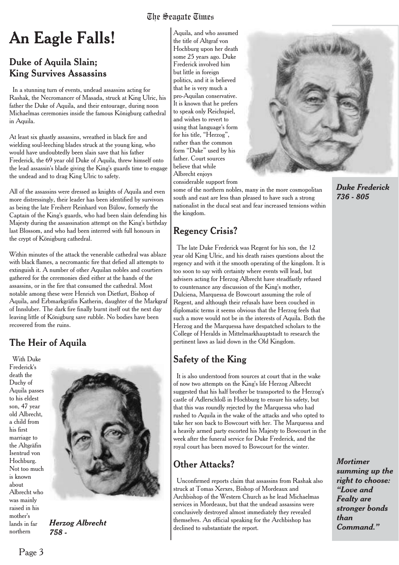# **An Eagle Falls!**

### Duke of Aquila Slain; King Survives Assassins

In a stunning turn of events, undead assassins acting for Rashak, the Necromancer of Masada, struck at King Ulric, his father the Duke of Aquila, and their entourage, during noon Michaelmas ceremonies inside the famous Königburg cathedral in Aquila.

At least six ghastly assassins, wreathed in black fire and wielding soul-leeching blades struck at the young king, who would have undoubtedly been slain save that his father Frederick, the 69 year old Duke of Aquila, threw himself onto the lead assassin's blade giving the King's guards time to engage the undead and to drag King Ulric to safety.

All of the assassins were dressed as knights of Aquila and even more distressingly, their leader has been identified by survivors as being the late Freiherr Reinhard von Bülow, formerly the Captain of the King's guards, who had been slain defending his Majesty during the assassination attempt on the King's birthday last Blossom, and who had been interred with full honours in the crypt of Königburg cathedral.

Within minutes of the attack the venerable cathedral was ablaze with black flames, a necromantic fire that defied all attempts to extinguish it. A number of other Aquilan nobles and courtiers gathered for the ceremonies died either at the hands of the assassins, or in the fire that consumed the cathedral. Most notable among these were Henrich von Dietfurt, Bishop of Aquila, and Erbmarkgräfin Katherin, daughter of the Markgraf of Innsluber. The dark fire finally burnt itself out the next day leaving little of Königburg save rubble. No bodies have been recovered from the ruins.

### The Heir of Aquila

With Duke Frederick's death the Duchy of Aquila passes to his eldest son, 47 year old Albrecht, a child from his first marriage to the Altgräfin Isentrud von Hochburg. Not too much is known about Albrecht who was mainly raised in his mother's lands in far northern



*Herzog Albrecht 758 -*

Aquila, and who assumed the title of Altgraf von Hochburg upon her death some 25 years ago. Duke Frederick involved him but little in foreign politics, and it is believed that he is very much a pro-Aquilan conservative. It is known that he prefers to speak only Reichspiel, and wishes to revert to using that language's form for his title, "Herzog", rather than the common form "Duke" used by his father. Court sources believe that while Albrecht enjoys considerable support from

some of the northern nobles, many in the more cosmopolitan south and east are less than pleased to have such a strong nationalist in the ducal seat and fear increased tensions within the kingdom.

### Regency Crisis?

The late Duke Frederick was Regent for his son, the 12 year old King Ulric, and his death raises questions about the regency and with it the smooth operating of the kingdom. It is too soon to say with certainty where events will lead, but advisers acting for Herzog Albrecht have steadfastly refused to countenance any discussion of the King's mother, Dulciena, Marquessa de Bowcourt assuming the role of Regent, and although their refusals have been couched in diplomatic terms it seems obvious that the Herzog feels that such a move would not be in the interests of Aquila. Both the Herzog and the Marquessa have despatched scholars to the College of Heralds in Mittelmarkhauptstadt to research the pertinent laws as laid down in the Old Kingdom.

### Safety of the King

It is also understood from sources at court that in the wake of now two attempts on the King's life Herzog Albrecht suggested that his half brother be transported to the Herzog's castle of Adlerschloß in Hochburg to ensure his safety, but that this was roundly rejected by the Marquessa who had rushed to Aquila in the wake of the attacks and who opted to take her son back to Bowcourt with her. The Marquessa and a heavily armed party escorted his Majesty to Bowcourt in the week after the funeral service for Duke Frederick, and the royal court has been moved to Bowcourt for the winter.

### Other Attacks?

Unconfirmed reports claim that assassins from Rashak also struck at Tomas Xerxes, Bishop of Mordeaux and Archbishop of the Western Church as he lead Michaelmas services in Mordeaux, but that the undead assassins were conclusively destroyed almost immediately they revealed themselves. An official speaking for the Archbishop has declined to substantiate the report.



*Duke Frederick 736 - 805*

*Mortimer summing up the right to choose: "Love and Fealty are stronger bonds than Command."*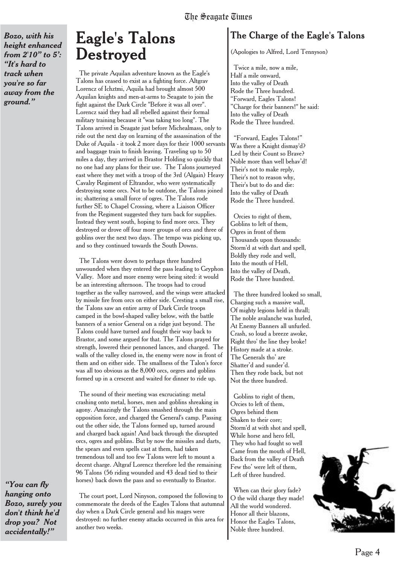*Bozo, with his height enhanced from 2'10" to 5': "It's hard to track when you're so far away from the ground."*

### **Eagle's Talons Destroyed**

The private Aquilan adventure known as the Eagle's Talons has ceased to exist as a fighting force. Altgrav Lorencz of Ichztmi, Aquila had brought almost 500 Aquilan knights and men-at-arms to Seagate to join the fight against the Dark Circle "Before it was all over". Lorencz said they had all rebelled against their formal military training because it "was taking too long". The Talons arrived in Seagate just before Michealmass, only to ride out the next day on learning of the assassination of the Duke of Aquila - it took 2 more days for their 1000 servants and baggage train to finish leaving. Traveling up to 50 miles a day, they arrived in Brastor Holding so quickly that no one had any plans for their use. The Talons journeyed east where they met with a troop of the 3rd (Algain) Heavy Cavalry Regiment of Eltrandor, who were systematically destroying some orcs. Not to be outdone, the Talons joined in; shattering a small force of ogres. The Talons rode further SE to Chapel Crossing, where a Liaison Officer from the Regiment suggested they turn back for supplies. Instead they went south, hoping to find more orcs. They destroyed or drove off four more groups of orcs and three of goblins over the next two days. The tempo was picking up, and so they continued towards the South Downs.

The Talons were down to perhaps three hundred unwounded when they entered the pass leading to Gryphon Valley. More and more enemy were being sited: it would be an interesting afternoon. The troops had to croud together as the valley narrowed, and the wings were attacked by missile fire from orcs on either side. Cresting a small rise, the Talons saw an entire army of Dark Circle troops camped in the bowl-shaped valley below, with the battle banners of a senior General on a ridge just beyond. The Talons could have turned and fought their way back to Brastor, and some argued for that. The Talons prayed for strength, lowered their pennoned lances, and charged. The walls of the valley closed in, the enemy were now in front of them and on either side. The smallness of the Talon's force was all too obvious as the 8,000 orcs, orgres and goblins formed up in a crescent and waited for dinner to ride up.

The sound of their meeting was excruciating: metal crashing onto metal, horses, men and goblins shreaking in agony. Amazingly the Talons smashed through the main opposition force, and charged the General's camp. Passing out the other side, the Talons formed up, turned around and charged back again! And back through the disrupted orcs, ogres and goblins. But by now the missiles and darts, the spears and even spells cast at them, had taken tremendous toll and too few Talons were left to mount a decent charge. Altgraf Lorencz therefore led the remaining 96 Talons (56 riding wounded and 43 dead tied to their horses) back down the pass and so eventually to Brastor.

*"You can fly hanging onto Bozo, surely you don't think he'd drop you? Not accidentally!"*

The court poet, Lord Ninyson, composed the following to commemorate the deeds of the Eagles Talons that autumnal day when a Dark Circle general and his mages were destroyed: no further enemy attacks occurred in this area for another two weeks.

### The Charge of the Eagle's Talons

(Apologies to Alfred, Lord Tennyson)

Twice a mile, now a mile, Half a mile onward, Into the valley of Death Rode the Three hundred. "Forward, Eagles Talons! "Charge for their banners!" he said: Into the valley of Death Rode the Three hundred.

"Forward, Eagles Talons!" Was there a Knight dismay'd? Led by their Count so Brave? Noble more than well behav'd! Their's not to make reply, Their's not to reason why, Their's but to do and die: Into the valley of Death Rode the Three hundred.

Orcies to right of them, Goblins to left of them, Ogres in front of them Thousands upon thousands: Storm'd at with dart and spell, Boldly they rode and well, Into the mouth of Hell, Into the valley of Death, Rode the Three hundred.

The three hundred looked so small, Charging such a massive wall, Of mighty legions held in thrall; The noble avalanche was hurled, At Enemy Banners all unfurled. Crash, so loud a breeze awoke, Right thro' the line they broke! History made at a stroke. The Generals tho' are Shatter'd and sunder'd. Then they rode back, but not Not the three hundred.

Goblins to right of them, Orcies to left of them, Ogres behind them Shaken to their core; Storm'd at with shot and spell, While horse and hero fell, They who had fought so well Came from the mouth of Hell, Back from the valley of Death Few tho' were left of them, Left of three hundred.

When can their glory fade? O the wild charge they made! All the world wondered. Honor all their blazons, Honor the Eagles Talons, Noble three hundred.

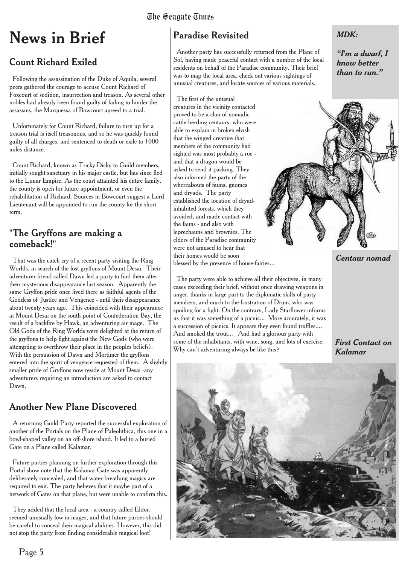# **News in Brief**

### Count Richard Exiled

Following the assassination of the Duke of Aquila, several peers gathered the courage to accuse Count Richard of Foxcourt of sedition, insurrection and treason. As several other nobles had already been found guilty of failing to hinder the assassins, the Marquessa of Bowcourt agreed to a trial.

Unfortunately for Count Richard, failure to turn up for a treason trial is itself treasonous, and so he was quickly found guilty of all charges, and sentenced to death or exile to 1000 miles distance.

Count Richard, known as Tricky Dicky to Guild members, initially sought sanctuary in his major castle, but has since fled to the Lunar Empire. As the court attainted his entire family, the county is open for future appointment, or even the rehabilitation of Richard. Sources in Bowcourt suggest a Lord Lieutenant will be appointed to run the county for the short term.

#### "The Gryffons are making a comeback!"

That was the catch cry of a recent party visiting the Ring Worlds, in search of the lost gryffons of Mount Desai. Their adventurer friend called Dawn led a party to find them after their mysterious disappearance last season. Apparently the same Gryffon pride once lived there as faithful agents of the Goddess of Justice and Vengence - until their disappearance about twenty years ago. This coincided with their appearance at Mount Desai on the south point of Confederation Bay, the result of a backfire by Hawk, an adventuring air mage. The Old Gods of the Ring Worlds were delighted at the return of the gryffons to help fight against the New Gods (who were attempting to overthrow their place in the peoples beliefs). With the persuasion of Dawn and Mortimer the gryffons entered into the spirit of vengence requested of them. A slightly smaller pride of Gryffons now reside at Mount Desai -any adventurers requiring an introduction are asked to contact Dawn.

### Another New Plane Discovered

A returning Guild Party reported the successful exploration of another of the Portals on the Plane of Paleolithica, this one in a bowl-shaped valley on an off-shore island. It led to a buried Gate on a Plane called Kalamar.

Future parties planning on further exploration through this Portal show note that the Kalamar Gate was apparently deliberately concealed, and that water-breathing magics are required to exit. The party believes that it maybe part of a network of Gates on that plane, but were unable to confirm this.

They added that the local area - a country called Eldor, seemed unusually low in mages, and that future parties should be careful to conceal their magical abilities. However, this did not stop the party from finding considerable magical loot!

### Paradise Revisited

Another party has successfully returned from the Plane of Sol, having made peaceful contact with a number of the local residents on behalf of the Paradise community. Their brief was to map the local area, check out various sightings of unusual creatures, and locate sources of various materials.

The first of the unusual creatures in the vicinity contacted proved to be a clan of nomadic cattle-herding centaurs, who were able to explain in broken elvish that the winged creature that members of the community had sighted was most probably a roc and that a dragon would be asked to send it packing. They also informed the party of the whereabouts of fauns, gnomes and dryads. The party established the location of dryadinhabited forests, which they avoided, and made contact with the fauns - and also with leprechauns and brownies. The elders of the Paradise community were not amused to hear that their homes would be soon blessed by the presence of house-fairies...

The party were able to achieve all their objectives, in many cases exceeding their brief, without once drawing weapons in anger, thanks in large part to the diplomatic skills of party members, and much to the frustration of Drum, who was spoiling for a fight. On the contrary, Lady Starflower informs us that it was something of a picnic... More accurately, it was a succession of picnics. It appears they even found truffles.... And smoked the trout... And had a glorious party with some of the inhabitants, with wine, song, and lots of exercise. Why can't adventuring always be like this?

*Centaur nomad*

#### *First Contact on Kalamar*



*"I'm a dwarf, I know better than to run."*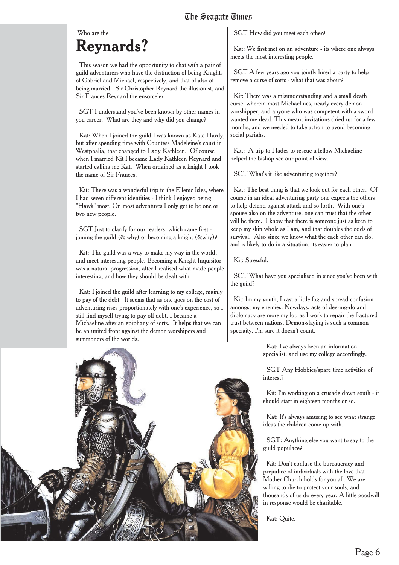### Who are the **Reynards?**

This season we had the opportunity to chat with a pair of guild adventurers who have the distinction of being Knights of Gabriel and Michael, respectively, and that of also of being married. Sir Christopher Reynard the illusionist, and Sir Frances Reynard the ensorceler.

SGT I understand you've been known by other names in you career. What are they and why did you change?

Kat: When I joined the guild I was known as Kate Hardy, but after spending time with Countess Madeleine's court in Westphalia, that changed to Lady Kathleen. Of course when I married Kit I became Lady Kathleen Reynard and started calling me Kat. When ordained as a knight I took the name of Sir Frances.

Kit: There was a wonderful trip to the Ellenic Isles, where I had seven different identities - I think I enjoyed being "Hawk" most. On most adventures I only get to be one or two new people.

SGT Just to clarify for our readers, which came first joining the guild (& why) or becoming a knight (&why)?

Kit: The guild was a way to make my way in the world, and meet interesting people. Becoming a Knight Inquisitor was a natural progression, after I realised what made people interesting, and how they should be dealt with.

Kat: I joined the guild after learning to my college, mainly to pay of the debt. It seems that as one goes on the cost of adventuring rises proportionately with one's experience, so I still find myself trying to pay off debt. I became a Michaeline after an epiphany of sorts. It helps that we can be an united front against the demon worshipers and summoners of the worlds.



SGT How did you meet each other?

Kat: We first met on an adventure - its where one always meets the most interesting people.

SGT A few years ago you jointly hired a party to help remove a curse of sorts - what that was about?

Kit: There was a misunderstanding and a small death curse, wherein most Michaelines, nearly every demon worshipper, and anyone who was competent with a sword wanted me dead. This meant invitations dried up for a few months, and we needed to take action to avoid becoming social pariahs.

Kat: A trip to Hades to rescue a fellow Michaeline helped the bishop see our point of view.

SGT What's it like adventuring together?

Kat: The best thing is that we look out for each other. Of course in an ideal adventuring party one expects the others to help defend against attack and so forth. With one's spouse also on the adventure, one can trust that the other will be there. I know that there is someone just as keen to keep my skin whole as I am, and that doubles the odds of survival. Also since we know what the each other can do, and is likely to do in a situation, its easier to plan.

Kit: Stressful.

SGT What have you specialised in since you've been with the guild?

Kit: Im my youth, I cast a little fog and spread confusion amongst my enemies. Nowdays, acts of deering-do and diplomacy are more my lot, as I work to repair the fractured trust between nations. Demon-slaying is such a common speciaity, I'm sure it doesn't count.

> Kat: I've always been an information specialist, and use my college accordingly.

SGT Any Hobbies/spare time activities of interest?

Kit: I'm working on a crusade down south - it should start in eighteen months or so.

Kat: It's always amusing to see what strange ideas the children come up with.

SGT: Anything else you want to say to the guild populace?

Kit: Don't confuse the bureaucracy and prejudice of individuals with the love that Mother Church holds for you all. We are willing to die to protect your souls, and thousands of us do every year. A little goodwill in response would be charitable.

Kat: Quite.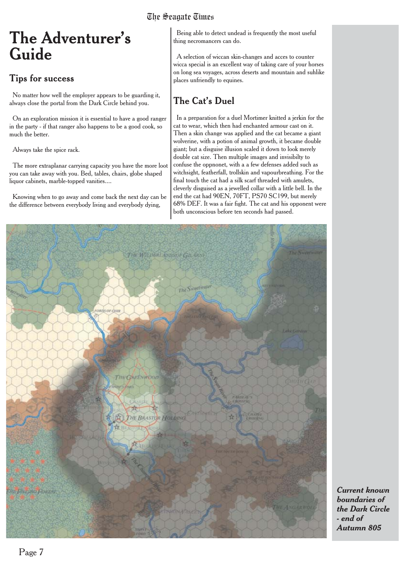# **The Adventurer's Guide**

#### **Tips for success**

No matter how well the employer appears to be guarding it, always close the portal from the Dark Circle behind you.

On an exploration mission it is essential to have a good ranger in the party - if that ranger also happens to be a good cook, so much the better.

Always take the spice rack.

The more extraplanar carrying capacity you have the more loot you can take away with you. Bed, tables, chairs, globe shaped liquor cabinets, marble-topped vanities....

Knowing when to go away and come back the next day can be the difference between everybody living and everybody dying,

Being able to detect undead is frequently the most useful thing necromancers can do.

A selection of wiccan skin-changes and acces to counter wicca special is an excellent way of taking care of your horses on long sea voyages, across deserts and mountain and suhlike places unfriendly to equines.

### The Cat's Duel

In a preparation for a duel Mortimer knitted a jerkin for the cat to wear, which then had enchanted armour cast on it. Then a skin change was applied and the cat became a giant wolverine, with a potion of animal growth, it became double giant; but a disguise illusion scaled it down to look merely double cat size. Then multiple images and invisibilty to confuse the oppnonet, with a a few defenses added such as witchsight, featherfall, trollskin and vapourbreathing. For the final touch the cat had a silk scarf threaded with amulets, cleverly disguised as a jewelled collar with a little bell. In the end the cat had 90EN, 70FT, PS70 SC199, but merely 68% DEF. It was a fair fight. The cat and his opponent were both unconscious before ten seconds had passed.



*Current known boundaries of the Dark Circle - end of Autumn 805*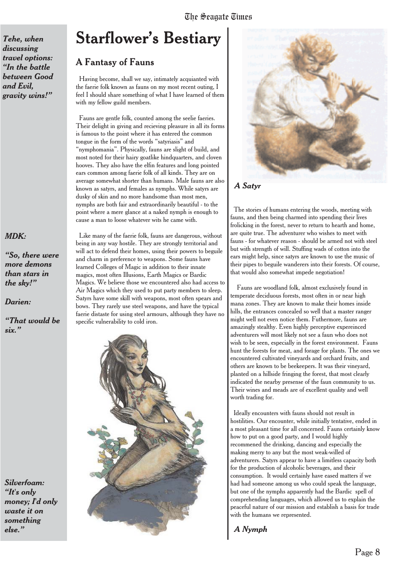*Tehe, when discussing travel options: "In the battle between Good and Evil, gravity wins!"*

#### *MDK:*

*"So, there were more demons than stars in the sky!"*

*Darien:*

*"That would be six."*

*Silverfoam: "It's only money; I'd only waste it on something else."*

### **Starflower's Bestiary**

#### A Fantasy of Fauns

Having become, shall we say, intimately acquianted with the faerie folk known as fauns on my most recent outing, I feel I should share something of what I have learned of them with my fellow guild members.

Fauns are gentle folk, counted among the seelie faeries. Their delight in giving and recieving pleasure in all its forms is famous to the point where it has entered the common tongue in the form of the words "satyriasis" and "nymphomania". Physically, fauns are slight of build, and most noted for their hairy goatlike hindquarters, and cloven hooves. They also have the elfin features and long pointed ears common among faerie folk of all kinds. They are on average somewhat shorter than humans. Male fauns are also known as satyrs, and females as nymphs. While satyrs are dusky of skin and no more handsome than most men, nymphs are both fair and extraordinarily beautiful - to the point where a mere glance at a naked nymph is enough to cause a man to loose whatever wits he came with.

Like many of the faerie folk, fauns are dangerous, without being in any way hostile. They are strongly territorial and will act to defend their homes, using their powers to beguile and charm in preference to weapons. Some fauns have learned Colleges of Magic in addition to their innate magics, most often Illusions, Earth Magics or Bardic Magics. We believe those we encountered also had access to Air Magics which they used to put party members to sleep. Satyrs have some skill with weapons, most often spears and bows. They rarely use steel weapons, and have the typical faerie distaste for using steel armours, although they have no specific vulnerability to cold iron.





#### *A Satyr*

The stories of humans entering the woods, meeting with fauns, and then being charmed into spending their lives frolicking in the forest, never to return to hearth and home, are quite true. The adventurer who wishes to meet with fauns - for whatever reason - should be armed not with steel but with strength of will. Stuffing wads of cotton into the ears might help, since satyrs are known to use the music of their pipes to beguile wanderers into their forests. Of course, that would also somewhat impede negotiation!

Fauns are woodland folk, almost exclusively found in temperate deciduous forests, most often in or near high mana zones. They are known to make their homes inside hills, the entrances concealed so well that a master ranger might well not even notice them. Futhermore, fauns are amazingly stealthy. Even highly perceptive expereinced adventurers will most likely not see a faun who does not wish to be seen, especially in the forest environment. Fauns hunt the forests for meat, and forage for plants. The ones we encountered cultivated vineyards and orchard fruits, and others are known to be beekeepers. It was their vineyard, planted on a hillside fringing the forest, that most clearly indicated the nearby presense of the faun community to us. Their wines and meads are of excellent quality and well worth trading for.

Ideally encounters with fauns should not result in hostilities. Our encounter, while initially tentative, ended in a most pleasant time for all concerned. Fauns certainly know how to put on a good party, and I would highly recommened the drinking, dancing and especially the making merry to any but the most weak-willed of adventurers. Satyrs appear to have a limitless capacity both for the production of alcoholic beverages, and their consumption. It would certainly have eased matters if we had had someone among us who could speak the language, but one of the nymphs apparently had the Bardic spell of comprehending languages, which allowed us to explain the peaceful nature of our mission and establish a basis for trade with the humans we represented.

*A Nymph*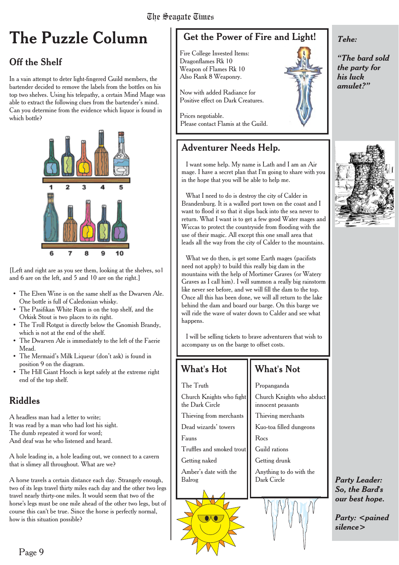# **The Puzzle Column**

### Off the Shelf

In a vain attempt to deter light-fingered Guild members, the bartender decided to remove the labels from the bottles on his top two shelves. Using his telepathy, a certain Mind Mage was able to extract the following clues from the bartender's mind. Can you determine from the evidence which liquor is found in which bottle?



[Left and right are as you see them, looking at the shelves, so1 and 6 are on the left, and 5 and 10 are on the right.]

- The Elven Wine is on the same shelf as the Dwarven Ale. One bottle is full of Caledonian whisky.
- The Pasifikan White Rum is on the top shelf, and the Orkisk Stout is two places to its right.
- The Troll Rotgut is directly below the Gnomish Brandy, which is not at the end of the shelf.
- The Dwarven Ale is immediately to the left of the Faerie Mead.
- The Mermaid's Milk Liqueur (don't ask) is found in position 9 on the diagram.
- The Hill Giant Hooch is kept safely at the extreme right end of the top shelf.

### Riddles

A headless man had a letter to write; It was read by a man who had lost his sight. The dumb repeated it word for word; And deaf was he who listened and heard.

A hole leading in, a hole leading out, we connect to a cavern that is slimey all throughout. What are we?

A horse travels a certain distance each day. Strangely enough, two of its legs travel thirty miles each day and the other two legs travel nearly thirty-one miles. It would seem that two of the horse's legs must be one mile ahead of the other two legs, but of course this can't be true. Since the horse is perfectly normal, how is this situation possible?

### Get the Power of Fire and Light!

Fire College Invested Items: Dragonflames Rk 10 Weapon of Flames Rk 10 Also Rank 8 Weaponry.

Now with added Radiance for Positive effect on Dark Creatures.

Prices negotiable. Please contact Flamis at the Guild.

### Adventurer Needs Help.

I want some help. My name is Lath and I am an Air mage. I have a secret plan that I'm going to share with you in the hope that you will be able to help me.

What I need to do is destroy the city of Calder in Brandenburg. It is a walled port town on the coast and I want to flood it so that it slips back into the sea never to return. What I want is to get a few good Water mages and Wiccas to protect the countryside from flooding with the use of their magic. All except this one small area that leads all the way from the city of Calder to the mountains.

What we do then, is get some Earth mages (pacifists need not apply) to build this really big dam in the mountains with the help of Mortimer Graves (or Watery Graves as I call him). I will summon a really big rainstorm like never see before, and we will fill the dam to the top. Once all this has been done, we will all return to the lake behind the dam and board our barge. On this barge we will ride the wave of water down to Calder and see what happens.

I will be selling tickets to brave adventurers that wish to accompany us on the barge to offset costs.

#### What's Hot

### What's Not Propanganda

Church Knights who abduct innocent peasants Thieving merchants Kuo-toa filled dungeons Rocs Guild rations Getting drunk Anything to do with the Dark Circle The Truth Church Knights who fight the Dark Circle Thieving from merchants Dead wizards' towers Fauns Truffles and smoked trout Getting naked Amber's date with the Balrog



*"The bard sold the party for his luck amulet?"*

*Tehe:*



*Party Leader: So, the Bard's our best hope.*

*Party:* <pained *silence>*